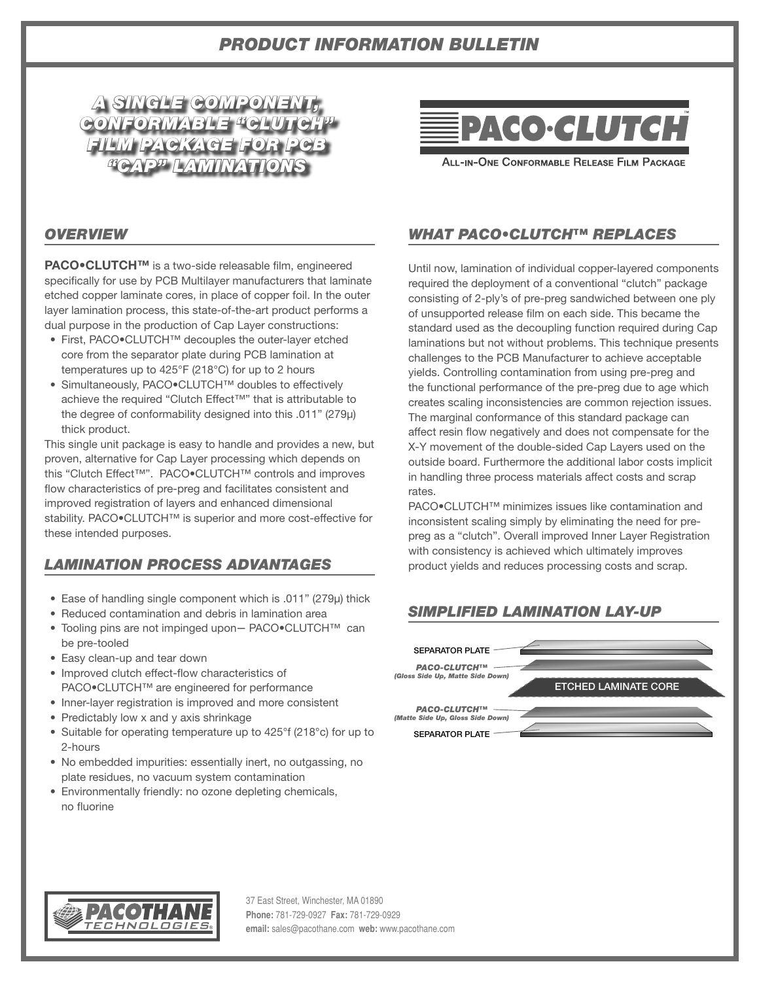# *PRODUCT INFORMATION BULLETIN*



# **PACO·CLUTCH**

ALL-IN-ONE CONFORMABLE RELEASE FILM PACKAGE

### *OVERVIEW*

**PACO•CLUTCH™** is a two-side releasable film, engineered specifically for use by PCB Multilayer manufacturers that laminate etched copper laminate cores, in place of copper foil. In the outer layer lamination process, this state-of-the-art product performs a dual purpose in the production of Cap Layer constructions:

- First, PACO•CLUTCH™ decouples the outer-layer etched core from the separator plate during PCB lamination at temperatures up to 425°F (218°C) for up to 2 hours
- Simultaneously, PACO•CLUTCH™ doubles to effectively achieve the required "Clutch Effect™" that is attributable to the degree of conformability designed into this .011" (279μ) thick product.

This single unit package is easy to handle and provides a new, but proven, alternative for Cap Layer processing which depends on this "Clutch Effect™". PACO•CLUTCH™ controls and improves flow characteristics of pre-preg and facilitates consistent and improved registration of layers and enhanced dimensional stability. PACO.CLUTCH™ is superior and more cost-effective for these intended purposes.

## *LAMINATION PROCESS ADVANTAGES*

- Ease of handling single component which is .011" (279µ) thick
- Reduced contamination and debris in lamination area
- Tooling pins are not impinged upon**—** PACO•CLUTCH™ can be pre-tooled
- Easy clean-up and tear down
- Improved clutch effect-flow characteristics of PACO•CLUTCH™ are engineered for performance
- Inner-layer registration is improved and more consistent
- Predictably low x and y axis shrinkage
- Suitable for operating temperature up to 425°f (218°c) for up to 2-hours
- No embedded impurities: essentially inert, no outgassing, no plate residues, no vacuum system contamination
- Environmentally friendly: no ozone depleting chemicals, no fluorine

## *WHAT PACO•CLUTCH™ REPLACES*

Until now, lamination of individual copper-layered components required the deployment of a conventional "clutch" package consisting of 2-ply's of pre-preg sandwiched between one ply of unsupported release film on each side. This became the standard used as the decoupling function required during Cap laminations but not without problems. This technique presents challenges to the PCB Manufacturer to achieve acceptable yields. Controlling contamination from using pre-preg and the functional performance of the pre-preg due to age which creates scaling inconsistencies are common rejection issues. The marginal conformance of this standard package can affect resin flow negatively and does not compensate for the X-Y movement of the double-sided Cap Layers used on the outside board. Furthermore the additional labor costs implicit in handling three process materials affect costs and scrap rates.

PACO•CLUTCH™ minimizes issues like contamination and inconsistent scaling simply by eliminating the need for prepreg as a "clutch". Overall improved Inner Layer Registration with consistency is achieved which ultimately improves product yields and reduces processing costs and scrap.

## *SIMPLIFIED LAMINATION LAY-UP*





37 East Street, Winchester, MA 01890 **Phone:** 781-729-0927 **Fax:** 781-729-0929 **email:** sales@pacothane.com **web:** www.pacothane.com